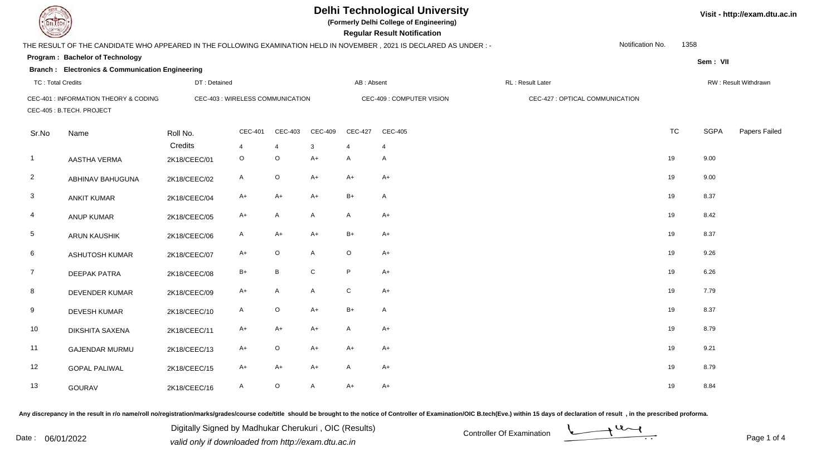**(Formerly Delhi College of Engineering)**

| <b>Courses of The Courses</b> |                                                                    |              |                                  |             |                |                | <b>Regular Result Notification</b>                                                                                   |                                 |                  |           |             |                      |
|-------------------------------|--------------------------------------------------------------------|--------------|----------------------------------|-------------|----------------|----------------|----------------------------------------------------------------------------------------------------------------------|---------------------------------|------------------|-----------|-------------|----------------------|
|                               |                                                                    |              |                                  |             |                |                | THE RESULT OF THE CANDIDATE WHO APPEARED IN THE FOLLOWING EXAMINATION HELD IN NOVEMBER, 2021 IS DECLARED AS UNDER :- |                                 | Notification No. | 1358      |             |                      |
|                               | Program: Bachelor of Technology                                    |              |                                  |             |                |                |                                                                                                                      |                                 |                  |           | Sem: VII    |                      |
|                               | <b>Branch : Electronics &amp; Communication Engineering</b>        |              |                                  |             |                |                |                                                                                                                      |                                 |                  |           |             |                      |
| <b>TC: Total Credits</b>      |                                                                    | DT: Detained |                                  |             |                | AB: Absent     |                                                                                                                      | RL: Result Later                |                  |           |             | RW: Result Withdrawn |
|                               | CEC-401 : INFORMATION THEORY & CODING<br>CEC-405 : B.TECH. PROJECT |              | CEC-403 : WIRELESS COMMUNICATION |             |                |                | CEC-409 : COMPUTER VISION                                                                                            | CEC-427 : OPTICAL COMMUNICATION |                  |           |             |                      |
| Sr.No                         | Name                                                               | Roll No.     | <b>CEC-401</b>                   | CEC-403     | <b>CEC-409</b> | <b>CEC-427</b> | <b>CEC-405</b>                                                                                                       |                                 |                  | <b>TC</b> | <b>SGPA</b> | Papers Failed        |
|                               |                                                                    | Credits      | $\overline{4}$                   | 4           | 3              | 4              | $\overline{4}$                                                                                                       |                                 |                  |           |             |                      |
| $\overline{1}$                | AASTHA VERMA                                                       | 2K18/CEEC/01 | $\circ$                          | $\mathsf O$ | $A+$           | $\mathsf{A}$   | A                                                                                                                    |                                 |                  | 19        | 9.00        |                      |
| $\overline{2}$                | ABHINAV BAHUGUNA                                                   | 2K18/CEEC/02 | $\mathsf{A}$                     | $\circ$     | $A+$           | $A+$           | $A+$                                                                                                                 |                                 |                  | 19        | 9.00        |                      |
| 3                             | <b>ANKIT KUMAR</b>                                                 | 2K18/CEEC/04 | $A+$                             | $A+$        | $A+$           | $B+$           | $\mathsf{A}$                                                                                                         |                                 |                  | 19        | 8.37        |                      |
| 4                             | ANUP KUMAR                                                         | 2K18/CEEC/05 | $A+$                             | A           | $\mathsf{A}$   | $\mathsf{A}$   | $A+$                                                                                                                 |                                 |                  | 19        | 8.42        |                      |
| $5\phantom{.0}$               | ARUN KAUSHIK                                                       | 2K18/CEEC/06 | A                                | A+          | $A+$           | $B+$           | $A+$                                                                                                                 |                                 |                  | 19        | 8.37        |                      |
| 6                             | <b>ASHUTOSH KUMAR</b>                                              | 2K18/CEEC/07 | $A+$                             | $\circ$     | A              | $\circ$        | $A+$                                                                                                                 |                                 |                  | 19        | 9.26        |                      |
| $\overline{7}$                | <b>DEEPAK PATRA</b>                                                | 2K18/CEEC/08 | $B+$                             | B           | ${\bf C}$      | P              | $A+$                                                                                                                 |                                 |                  | 19        | 6.26        |                      |
| 8                             | DEVENDER KUMAR                                                     | 2K18/CEEC/09 | $A+$                             | A           | A              | $\mathtt{C}$   | $A+$                                                                                                                 |                                 |                  | 19        | 7.79        |                      |
| 9                             | <b>DEVESH KUMAR</b>                                                | 2K18/CEEC/10 | $\mathsf{A}$                     | $\mathsf O$ | $A+$           | $B+$           | A                                                                                                                    |                                 |                  | 19        | 8.37        |                      |
| 10                            | <b>DIKSHITA SAXENA</b>                                             | 2K18/CEEC/11 | A+                               | $A+$        | $A+$           | $\mathsf{A}$   | $A+$                                                                                                                 |                                 |                  | 19        | 8.79        |                      |
| 11                            | <b>GAJENDAR MURMU</b>                                              | 2K18/CEEC/13 | $A+$                             | $\circ$     | $A+$           | $A+$           | $A+$                                                                                                                 |                                 |                  | 19        | 9.21        |                      |
| 12                            | <b>GOPAL PALIWAL</b>                                               | 2K18/CEEC/15 | $A+$                             | $A+$        | $A+$           | $\mathsf{A}$   | $A+$                                                                                                                 |                                 |                  | 19        | 8.79        |                      |
| 13                            | GOURAV                                                             | 2K18/CEEC/16 | A                                | $\circ$     | A              | $A+$           | $A+$                                                                                                                 |                                 |                  | 19        | 8.84        |                      |

Any discrepancy in the result in r/o name/roll no/registration/marks/grades/course code/title should be brought to the notice of Controller of Examination/OIC B.tech(Eve.) within 15 days of declaration of result, in the pr

Date : 06/01/2022 Valid only if downloaded from http://exam.dtu.ac.in<br>
Date : 06/01/2022 valid only if downloaded from http://exam.dtu.ac.in Digitally Signed by Madhukar Cherukuri , OIC (Results)

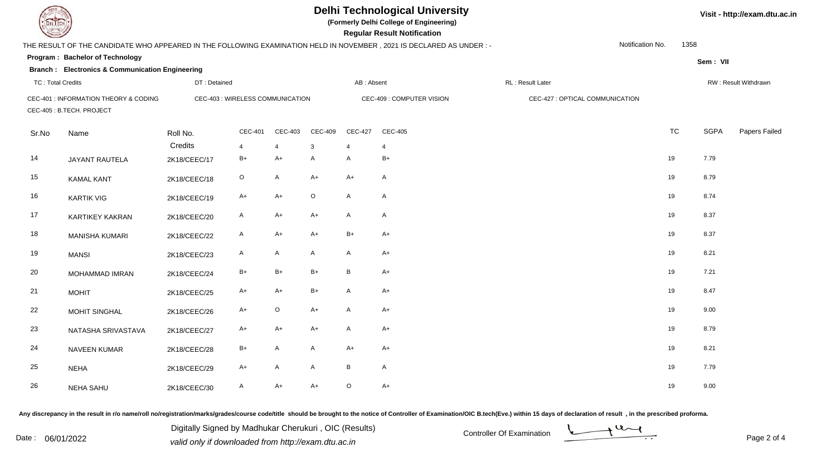**(Formerly Delhi College of Engineering)**

| <b>Courses of The Courses</b> |                                                                   |              |                                  |                |                |                | <b>Regular Result Notification</b>                                                                                   |                                 |                  |           |             |                      |
|-------------------------------|-------------------------------------------------------------------|--------------|----------------------------------|----------------|----------------|----------------|----------------------------------------------------------------------------------------------------------------------|---------------------------------|------------------|-----------|-------------|----------------------|
|                               |                                                                   |              |                                  |                |                |                | THE RESULT OF THE CANDIDATE WHO APPEARED IN THE FOLLOWING EXAMINATION HELD IN NOVEMBER, 2021 IS DECLARED AS UNDER :- |                                 | Notification No. | 1358      |             |                      |
|                               | Program: Bachelor of Technology                                   |              |                                  |                |                |                |                                                                                                                      |                                 |                  |           | Sem: VII    |                      |
|                               | <b>Branch : Electronics &amp; Communication Engineering</b>       |              |                                  |                |                |                |                                                                                                                      |                                 |                  |           |             |                      |
| <b>TC: Total Credits</b>      |                                                                   | DT: Detained |                                  |                |                | AB: Absent     |                                                                                                                      | RL: Result Later                |                  |           |             | RW: Result Withdrawn |
|                               | CEC-401 : INFORMATION THEORY & CODING<br>CEC-405: B.TECH. PROJECT |              | CEC-403 : WIRELESS COMMUNICATION |                |                |                | CEC-409 : COMPUTER VISION                                                                                            | CEC-427 : OPTICAL COMMUNICATION |                  |           |             |                      |
| Sr.No                         | Name                                                              | Roll No.     | CEC-401                          | CEC-403        | <b>CEC-409</b> | <b>CEC-427</b> | <b>CEC-405</b>                                                                                                       |                                 |                  | <b>TC</b> | <b>SGPA</b> | Papers Failed        |
|                               |                                                                   | Credits      | $\overline{4}$                   | $\overline{4}$ | 3              | $\overline{4}$ | $\overline{4}$                                                                                                       |                                 |                  |           |             |                      |
| 14                            | <b>JAYANT RAUTELA</b>                                             | 2K18/CEEC/17 | $B+$                             | $A+$           | A              | $\mathsf{A}$   | $B+$                                                                                                                 |                                 | 19               |           | 7.79        |                      |
| 15                            | <b>KAMAL KANT</b>                                                 | 2K18/CEEC/18 | $\circ$                          | $\mathsf{A}$   | $A+$           | $A+$           | $\mathsf{A}$                                                                                                         |                                 | 19               |           | 8.79        |                      |
| 16                            | <b>KARTIK VIG</b>                                                 | 2K18/CEEC/19 | $A+$                             | $A+$           | $\mathsf O$    | $\mathsf{A}$   | $\mathsf{A}$                                                                                                         |                                 | 19               |           | 8.74        |                      |
| 17                            | <b>KARTIKEY KAKRAN</b>                                            | 2K18/CEEC/20 | A                                | A+             | $A+$           | A              | $\mathsf{A}$                                                                                                         |                                 | 19               |           | 8.37        |                      |
| 18                            | <b>MANISHA KUMARI</b>                                             | 2K18/CEEC/22 | A                                | A+             | $A+$           | $B+$           | $A+$                                                                                                                 |                                 | 19               |           | 8.37        |                      |
| 19                            | <b>MANSI</b>                                                      | 2K18/CEEC/23 | A                                | A              | $\mathsf{A}$   | $\mathsf{A}$   | $A+$                                                                                                                 |                                 | 19               |           | 8.21        |                      |
| 20                            | MOHAMMAD IMRAN                                                    | 2K18/CEEC/24 | $B+$                             | $B+$           | $B+$           | B              | $A+$                                                                                                                 |                                 | 19               |           | 7.21        |                      |
| 21                            | <b>MOHIT</b>                                                      | 2K18/CEEC/25 | A+                               | $A+$           | $B+$           | A              | $A+$                                                                                                                 |                                 | 19               |           | 8.47        |                      |
| 22                            | <b>MOHIT SINGHAL</b>                                              | 2K18/CEEC/26 | $A+$                             | $\circ$        | $A+$           | $\mathsf{A}$   | $A+$                                                                                                                 |                                 | 19               |           | 9.00        |                      |
| 23                            | NATASHA SRIVASTAVA                                                | 2K18/CEEC/27 | $A+$                             | $A+$           | $A+$           | $\mathsf{A}$   | $A+$                                                                                                                 |                                 | 19               |           | 8.79        |                      |
| 24                            | NAVEEN KUMAR                                                      | 2K18/CEEC/28 | $B+$                             | A              | $\mathsf{A}$   | $A+$           | $A+$                                                                                                                 |                                 | 19               |           | 8.21        |                      |
| 25                            | <b>NEHA</b>                                                       | 2K18/CEEC/29 | A+                               | A              | A              | B              | $\mathsf{A}$                                                                                                         |                                 | 19               |           | 7.79        |                      |
| 26                            | <b>NEHA SAHU</b>                                                  | 2K18/CEEC/30 | A                                | A+             | $A+$           | $\circ$        | $A+$                                                                                                                 |                                 | 19               |           | 9.00        |                      |

Any discrepancy in the result in r/o name/roll no/registration/marks/grades/course code/title should be brought to the notice of Controller of Examination/OIC B.tech(Eve.) within 15 days of declaration of result, in the pr

Date : 06/01/2022<br>valid only if downloaded from http://exam.dtu.ac.in<br>Page 2 of Digitally Signed by Madhukar Cherukuri , OIC (Results)

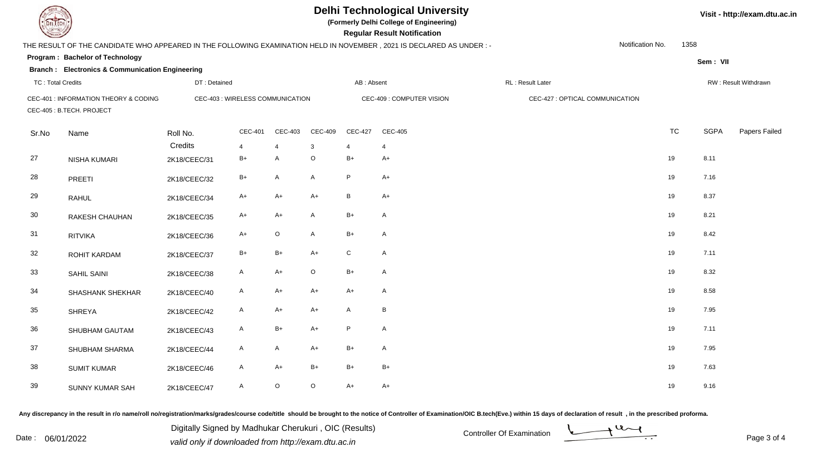**(Formerly Delhi College of Engineering)**

| <b>Courses of The Courses</b> |                                                                   |              |                                  |                |                |                | <b>Regular Result Notification</b>                                                                                   |                                 |                  |           |             |                      |
|-------------------------------|-------------------------------------------------------------------|--------------|----------------------------------|----------------|----------------|----------------|----------------------------------------------------------------------------------------------------------------------|---------------------------------|------------------|-----------|-------------|----------------------|
|                               |                                                                   |              |                                  |                |                |                | THE RESULT OF THE CANDIDATE WHO APPEARED IN THE FOLLOWING EXAMINATION HELD IN NOVEMBER, 2021 IS DECLARED AS UNDER :- |                                 | Notification No. | 1358      |             |                      |
|                               | Program: Bachelor of Technology                                   |              |                                  |                |                |                |                                                                                                                      |                                 |                  |           | Sem: VII    |                      |
|                               | <b>Branch : Electronics &amp; Communication Engineering</b>       |              |                                  |                |                |                |                                                                                                                      |                                 |                  |           |             |                      |
| <b>TC: Total Credits</b>      |                                                                   | DT: Detained |                                  |                |                | AB: Absent     |                                                                                                                      | RL: Result Later                |                  |           |             | RW: Result Withdrawn |
|                               | CEC-401 : INFORMATION THEORY & CODING<br>CEC-405: B.TECH. PROJECT |              | CEC-403 : WIRELESS COMMUNICATION |                |                |                | CEC-409 : COMPUTER VISION                                                                                            | CEC-427 : OPTICAL COMMUNICATION |                  |           |             |                      |
| Sr.No                         | Name                                                              | Roll No.     | CEC-401                          | CEC-403        | <b>CEC-409</b> | <b>CEC-427</b> | CEC-405                                                                                                              |                                 |                  | <b>TC</b> | <b>SGPA</b> | Papers Failed        |
|                               |                                                                   | Credits      | $\overline{4}$                   | $\overline{4}$ | 3              | $\overline{4}$ | $\overline{4}$                                                                                                       |                                 |                  |           |             |                      |
| 27                            | NISHA KUMARI                                                      | 2K18/CEEC/31 | $B+$                             | A              | $\mathsf O$    | $B+$           | $A+$                                                                                                                 |                                 | 19               |           | 8.11        |                      |
| 28                            | PREETI                                                            | 2K18/CEEC/32 | $B+$                             | A              | A              | P              | $A+$                                                                                                                 |                                 | 19               |           | 7.16        |                      |
| 29                            | <b>RAHUL</b>                                                      | 2K18/CEEC/34 | $A+$                             | $A+$           | $A+$           | B              | $A+$                                                                                                                 |                                 | 19               |           | 8.37        |                      |
| 30                            | RAKESH CHAUHAN                                                    | 2K18/CEEC/35 | $A+$                             | A+             | $\mathsf{A}$   | $B+$           | $\mathsf{A}$                                                                                                         |                                 | 19               |           | 8.21        |                      |
| 31                            | <b>RITVIKA</b>                                                    | 2K18/CEEC/36 | $A+$                             | $\circ$        | A              | $B+$           | $\mathsf{A}$                                                                                                         |                                 | 19               |           | 8.42        |                      |
| 32                            | ROHIT KARDAM                                                      | 2K18/CEEC/37 | $B+$                             | $B+$           | $A+$           | $\mathsf{C}$   | $\mathsf{A}$                                                                                                         |                                 | 19               |           | 7.11        |                      |
| 33                            | SAHIL SAINI                                                       | 2K18/CEEC/38 | $\mathsf{A}$                     | $A+$           | $\mathsf O$    | $B+$           | $\mathsf{A}$                                                                                                         |                                 | 19               |           | 8.32        |                      |
| 34                            | SHASHANK SHEKHAR                                                  | 2K18/CEEC/40 | A                                | A+             | $A+$           | $A+$           | A                                                                                                                    |                                 | 19               |           | 8.58        |                      |
| 35                            | <b>SHREYA</b>                                                     | 2K18/CEEC/42 | $\mathsf{A}$                     | $A+$           | $A+$           | A              | B                                                                                                                    |                                 | 19               |           | 7.95        |                      |
| 36                            | SHUBHAM GAUTAM                                                    | 2K18/CEEC/43 | $\mathsf{A}$                     | $B+$           | $A+$           | P              | $\mathsf{A}$                                                                                                         |                                 | 19               |           | 7.11        |                      |
| 37                            | SHUBHAM SHARMA                                                    | 2K18/CEEC/44 | $\mathsf{A}$                     | $\mathsf{A}$   | $A+$           | $B+$           | $\mathsf{A}$                                                                                                         |                                 | 19               |           | 7.95        |                      |
| 38                            | <b>SUMIT KUMAR</b>                                                | 2K18/CEEC/46 | A                                | $A+$           | $B+$           | $B+$           | $B+$                                                                                                                 |                                 | 19               |           | 7.63        |                      |
| 39                            | <b>SUNNY KUMAR SAH</b>                                            | 2K18/CEEC/47 | A                                | $\circ$        | $\mathsf O$    | $A+$           | $A+$                                                                                                                 |                                 | 19               |           | 9.16        |                      |

Any discrepancy in the result in r/o name/roll no/registration/marks/grades/course code/title should be brought to the notice of Controller of Examination/OIC B.tech(Eve.) within 15 days of declaration of result, in the pr

Date : 06/01/2022<br>
valid only if downloaded from http://exam.dtu.ac.in<br>
Page 3 of Digitally Signed by Madhukar Cherukuri , OIC (Results)